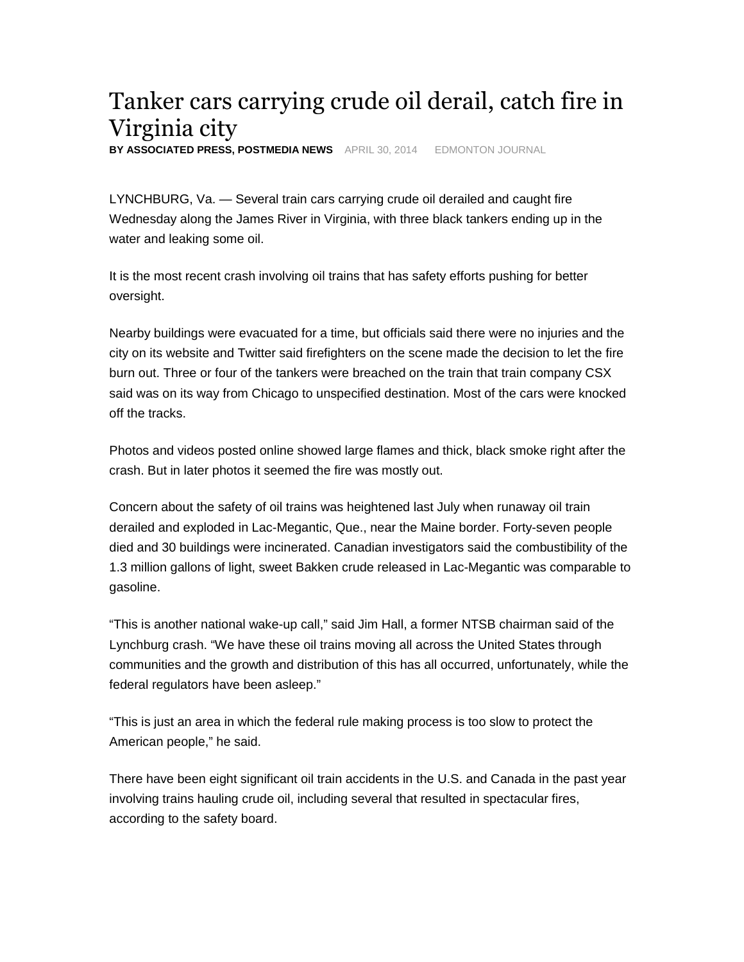## Tanker cars carrying crude oil derail, catch fire in Virginia city

**BY ASSOCIATED PRESS, POSTMEDIA NEWS** APRIL 30, 2014 EDMONTON JOURNAL

LYNCHBURG, Va. — Several train cars carrying crude oil derailed and caught fire Wednesday along the James River in Virginia, with three black tankers ending up in the water and leaking some oil.

It is the most recent crash involving oil trains that has safety efforts pushing for better oversight.

Nearby buildings were evacuated for a time, but officials said there were no injuries and the city on its website and Twitter said firefighters on the scene made the decision to let the fire burn out. Three or four of the tankers were breached on the train that train company CSX said was on its way from Chicago to unspecified destination. Most of the cars were knocked off the tracks.

Photos and videos posted online showed large flames and thick, black smoke right after the crash. But in later photos it seemed the fire was mostly out.

Concern about the safety of oil trains was heightened last July when runaway oil train derailed and exploded in Lac-Megantic, Que., near the Maine border. Forty-seven people died and 30 buildings were incinerated. Canadian investigators said the combustibility of the 1.3 million gallons of light, sweet Bakken crude released in Lac-Megantic was comparable to gasoline.

"This is another national wake-up call," said Jim Hall, a former NTSB chairman said of the Lynchburg crash. "We have these oil trains moving all across the United States through communities and the growth and distribution of this has all occurred, unfortunately, while the federal regulators have been asleep."

"This is just an area in which the federal rule making process is too slow to protect the American people," he said.

There have been eight significant oil train accidents in the U.S. and Canada in the past year involving trains hauling crude oil, including several that resulted in spectacular fires, according to the safety board.